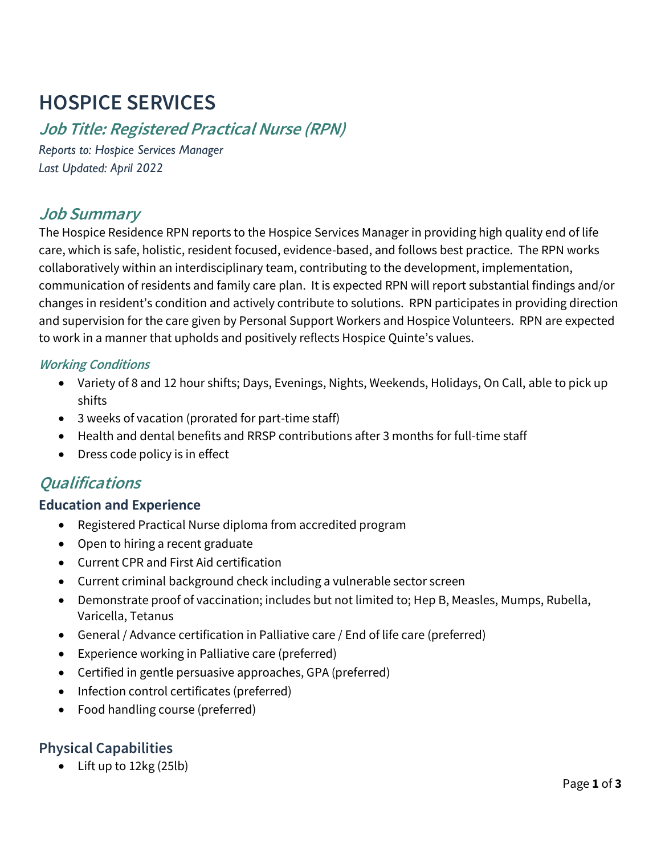# **HOSPICE SERVICES**

# **Job Title: Registered Practical Nurse (RPN)**

*Reports to: Hospice Services Manager Last Updated: April 2022*

## **Job Summary**

The Hospice Residence RPN reports to the Hospice Services Manager in providing high quality end of life care, which is safe, holistic, resident focused, evidence-based, and follows best practice. The RPN works collaboratively within an interdisciplinary team, contributing to the development, implementation, communication of residents and family care plan. It is expected RPN will report substantial findings and/or changes in resident's condition and actively contribute to solutions. RPN participates in providing direction and supervision for the care given by Personal Support Workers and Hospice Volunteers. RPN are expected to work in a manner that upholds and positively reflects Hospice Quinte's values.

#### **Working Conditions**

- Variety of 8 and 12 hour shifts; Days, Evenings, Nights, Weekends, Holidays, On Call, able to pick up shifts
- 3 weeks of vacation (prorated for part-time staff)
- Health and dental benefits and RRSP contributions after 3 months for full-time staff
- Dress code policy is in effect

# **Qualifications**

#### **Education and Experience**

- Registered Practical Nurse diploma from accredited program
- Open to hiring a recent graduate
- Current CPR and First Aid certification
- Current criminal background check including a vulnerable sector screen
- Demonstrate proof of vaccination; includes but not limited to; Hep B, Measles, Mumps, Rubella, Varicella, Tetanus
- General / Advance certification in Palliative care / End of life care (preferred)
- Experience working in Palliative care (preferred)
- Certified in gentle persuasive approaches, GPA (preferred)
- Infection control certificates (preferred)
- Food handling course (preferred)

## **Physical Capabilities**

• Lift up to 12kg (25lb)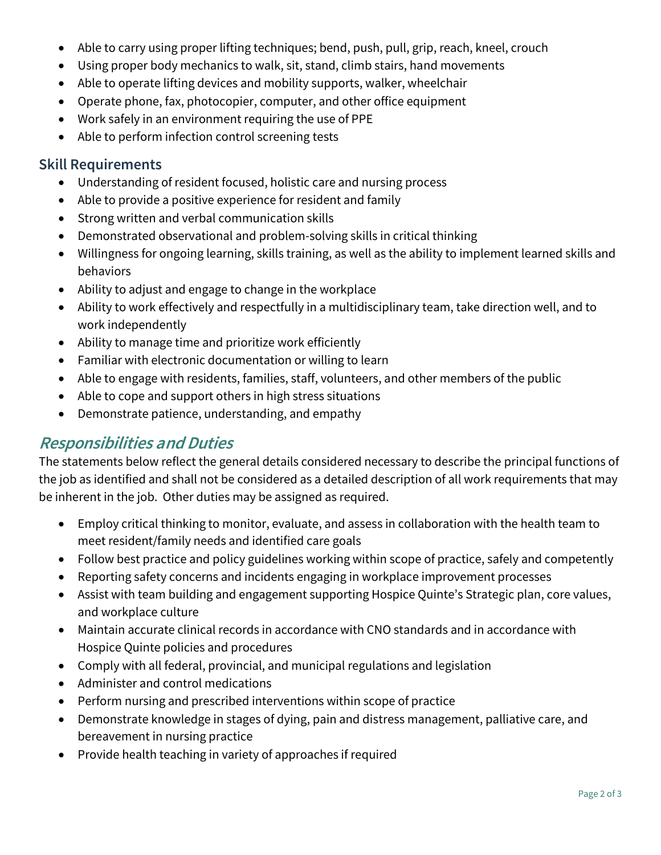- Able to carry using proper lifting techniques; bend, push, pull, grip, reach, kneel, crouch
- Using proper body mechanics to walk, sit, stand, climb stairs, hand movements
- Able to operate lifting devices and mobility supports, walker, wheelchair
- Operate phone, fax, photocopier, computer, and other office equipment
- Work safely in an environment requiring the use of PPE
- Able to perform infection control screening tests

#### **Skill Requirements**

- Understanding of resident focused, holistic care and nursing process
- Able to provide a positive experience for resident and family
- Strong written and verbal communication skills
- Demonstrated observational and problem-solving skills in critical thinking
- Willingness for ongoing learning, skills training, as well as the ability to implement learned skills and behaviors
- Ability to adjust and engage to change in the workplace
- Ability to work effectively and respectfully in a multidisciplinary team, take direction well, and to work independently
- Ability to manage time and prioritize work efficiently
- Familiar with electronic documentation or willing to learn
- Able to engage with residents, families, staff, volunteers, and other members of the public
- Able to cope and support others in high stress situations
- Demonstrate patience, understanding, and empathy

## **Responsibilities and Duties**

The statements below reflect the general details considered necessary to describe the principal functions of the job as identified and shall not be considered as a detailed description of all work requirements that may be inherent in the job. Other duties may be assigned as required.

- Employ critical thinking to monitor, evaluate, and assess in collaboration with the health team to meet resident/family needs and identified care goals
- Follow best practice and policy guidelines working within scope of practice, safely and competently
- Reporting safety concerns and incidents engaging in workplace improvement processes
- Assist with team building and engagement supporting Hospice Quinte's Strategic plan, core values, and workplace culture
- Maintain accurate clinical records in accordance with CNO standards and in accordance with Hospice Quinte policies and procedures
- Comply with all federal, provincial, and municipal regulations and legislation
- Administer and control medications
- Perform nursing and prescribed interventions within scope of practice
- Demonstrate knowledge in stages of dying, pain and distress management, palliative care, and bereavement in nursing practice
- Provide health teaching in variety of approaches if required